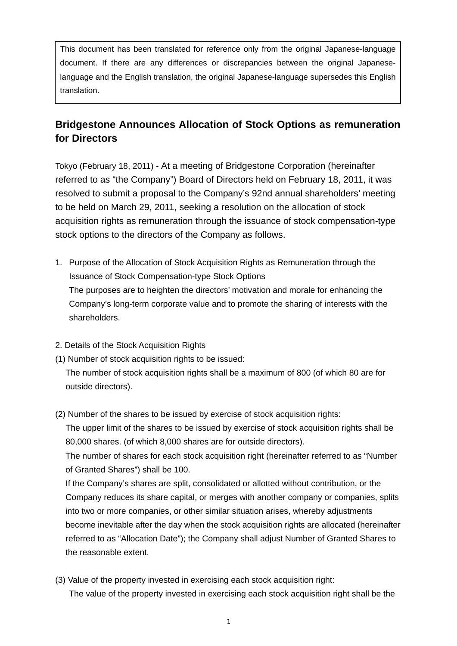This document has been translated for reference only from the original Japanese-language document. If there are any differences or discrepancies between the original Japaneselanguage and the English translation, the original Japanese-language supersedes this English translation.

## **Bridgestone Announces Allocation of Stock Options as remuneration for Directors**

Tokyo (February 18, 2011) - At a meeting of Bridgestone Corporation (hereinafter referred to as "the Company") Board of Directors held on February 18, 2011, it was resolved to submit a proposal to the Company's 92nd annual shareholders' meeting to be held on March 29, 2011, seeking a resolution on the allocation of stock acquisition rights as remuneration through the issuance of stock compensation-type stock options to the directors of the Company as follows.

- 1. Purpose of the Allocation of Stock Acquisition Rights as Remuneration through the Issuance of Stock Compensation-type Stock Options The purposes are to heighten the directors' motivation and morale for enhancing the Company's long-term corporate value and to promote the sharing of interests with the shareholders.
- 2. Details of the Stock Acquisition Rights
- (1) Number of stock acquisition rights to be issued:

The number of stock acquisition rights shall be a maximum of 800 (of which 80 are for outside directors).

(2) Number of the shares to be issued by exercise of stock acquisition rights:

The upper limit of the shares to be issued by exercise of stock acquisition rights shall be 80,000 shares. (of which 8,000 shares are for outside directors).

The number of shares for each stock acquisition right (hereinafter referred to as "Number of Granted Shares") shall be 100.

If the Company's shares are split, consolidated or allotted without contribution, or the Company reduces its share capital, or merges with another company or companies, splits into two or more companies, or other similar situation arises, whereby adjustments become inevitable after the day when the stock acquisition rights are allocated (hereinafter referred to as "Allocation Date"); the Company shall adjust Number of Granted Shares to the reasonable extent.

(3) Value of the property invested in exercising each stock acquisition right: The value of the property invested in exercising each stock acquisition right shall be the